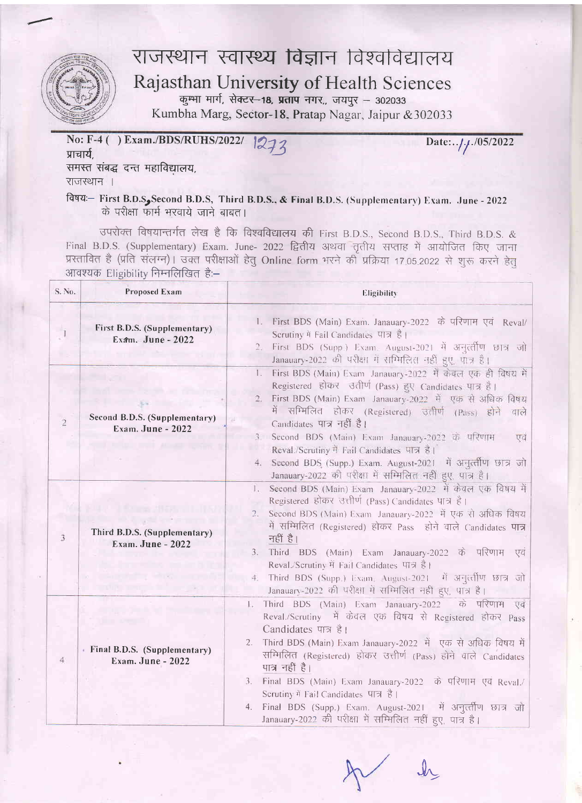

## राजस्थान स्वास्थ्य विज्ञान विश्वविद्यालय Rajasthan University of Health Sciences

कुम्भा मार्ग, सेक्टर—1**8, प्रताप** नगर,, जयपुर — 302033<br>|-Kumbha Marg, Sector-18- Pratap Nagar, Jaipur &302033

प्राचार्य, ( ) Exam./BDS/RUHS/2022/  $212$  Date:../././05/2022 समस्त संबद्ध दन्त महाविद्यालय,

राजस्थान ।

fdwa:- First B.D.S. Second B.D.S, Third B.D.S., & Final B.D.S. (Supplementary) Exam. June - 2022 -l d qften wf ,rrsrd qd qrqa I

उपरोक्त विषयान्तर्गत लेख है कि वि<mark>श्वविद्यालय</mark> की First B.D.S., Second B.D.S., Third B.D.S. & Final B.D.S. (Supplementary) Exam. June- 2022 <mark>द्वितीय</mark> अथवा तृतीय सप्ताह में आयोजित किए जाना प्रस्तावित है (प्रति संलग्न)। उक्त परीक्षाओं हेतु Online form भरने की प्रक्रिया 17.05.2022 से शुरू करने आवश्यक Eligibility निम्नलिखित है:-

| S. No.         | Proposed Exam                                            | Eligibility                                                                                                                                                                                                                                                                                                                                                                                                                                                                                                                                                  |  |  |
|----------------|----------------------------------------------------------|--------------------------------------------------------------------------------------------------------------------------------------------------------------------------------------------------------------------------------------------------------------------------------------------------------------------------------------------------------------------------------------------------------------------------------------------------------------------------------------------------------------------------------------------------------------|--|--|
|                | First B.D.S. (Supplementary)<br>Exam. June - 2022        | First BDS (Main) Exam. Janauary-2022 के परिणाम एवं Reval/<br>1.<br>Scrutiny में Fail Candidates पात्र है।<br>First BDS (Supp.) Exam. August-2021 में अनुत्तीण छात्र जो<br>Janauary-2022 की परीक्षा में सम्मिलित नहीं हुए, पात्र है।                                                                                                                                                                                                                                                                                                                          |  |  |
| $\overline{2}$ | Second B.D.S. (Supplementary)<br>Exam. June - 2022       | First BDS (Main) Exam Janauary-2022 में केवल एक ही विषय में<br>$\mathbf{L}$<br>Registered होकर उत्तीर्ण (Pass) हुए Candidates पात्र है।<br>First BDS (Main) Exam Janauary-2022 में एक से अधिक विषय<br>2.<br>में सम्मिलित होकर (Registered) उतीर्ण (Pass) होने<br>वाले<br>Candidates पात्र नहीं है।<br>3. Second BDS (Main) Exam Janauary-2022 के परिणाम<br>एवं<br>Reval./Scrutiny में Fail Candidates पात्र है।<br>4. Second BDS (Supp.) Exam. August-2021 में अनुत्तीण छात्र जो<br>Janauary-2022 की परीक्षा में सम्मिलित नहीं हुए, पात्र है।                |  |  |
| 3              | Third B.D.S. (Supplementary)<br><b>Exam. June - 2022</b> | Second BDS (Main) Exam Janauary-2022 में केवल एक विषय में<br>L.<br>Registered होकर उत्तीर्ण (Pass) Candidates पात्र है।<br>Second BDS (Main) Exam Janauary-2022 में एक से अधिक विषय<br>$\overline{2}$ .<br>में सम्मिलित (Registered) होकर Pass होने वाले Candidates पात्र<br>नहीं है।<br>Third BDS (Main) Exam Janauary-2022 के परिणाम<br>3.<br>एव<br>Reval./Scrutiny में Fail Candidates पात्र है।<br>Third BDS (Supp.) Exam. August-2021 में अनुत्तीण छात्र जो<br>4.<br>Janauary-2022 की परीक्षा में सम्मिलित नहीं हुए, पात्र है।                          |  |  |
| 4 <sup>1</sup> | Final B.D.S. (Supplementary)<br>Exam. June - 2022        | Third BDS (Main) Exam Janauary-2022 के परिणाम एवं<br>$\mathbf{L}$<br>Reval./Scrutiny में केवल एक विषय से Registered होकर Pass<br>Candidates पात्र है।<br>Third BDS (Main) Exam Janauary-2022 में एक से अधिक विषय में<br>2.<br>सम्मिलित (Registered) होकर उत्तीर्ण (Pass) होने वाले Candidates<br>पात्र नहीं है।<br>Final BDS (Main) Exam Janauary-2022 के परिणाम एवं Reval./<br>3.<br>Scrutiny में Fail Candidates पात्र है।<br>में अनुत्तीण छात्र जो<br>4. Final BDS (Supp.) Exam. August-2021<br>Janauary-2022 की परीक्षा में सम्मिलित नहीं हुए, पात्र है। |  |  |

 $J_{\Lambda}$